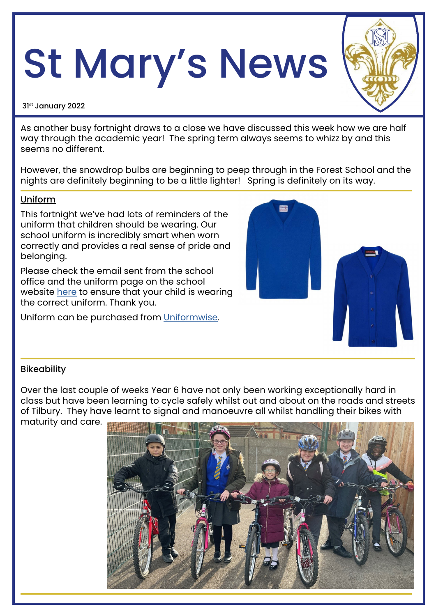# St Mary's News

#### 31st January 2022

As another busy fortnight draws to a close we have discussed this week how we are half way through the academic year! The spring term always seems to whizz by and this seems no different.

However, the snowdrop bulbs are beginning to peep through in the Forest School and the nights are definitely beginning to be a little lighter! Spring is definitely on its way.

#### Uniform

This fortnight we've had lots of reminders of the uniform that children should be wearing. Our school uniform is incredibly smart when worn correctly and provides a real sense of pride and belonging.

Please check the email sent from the school office and the uniform page on the school website [here](https://www.stmarystilbury.co.uk/page/?title=School+Uniform&pid=126) to ensure that your child is wearing the correct uniform. Thank you.

Uniform can be purchased from [Uniformwise](https://www.uniformwise.co.uk/).



#### **Bikeability**

Over the last couple of weeks Year 6 have not only been working exceptionally hard in class but have been learning to cycle safely whilst out and about on the roads and streets of Tilbury. They have learnt to signal and manoeuvre all whilst handling their bikes with maturity and care.

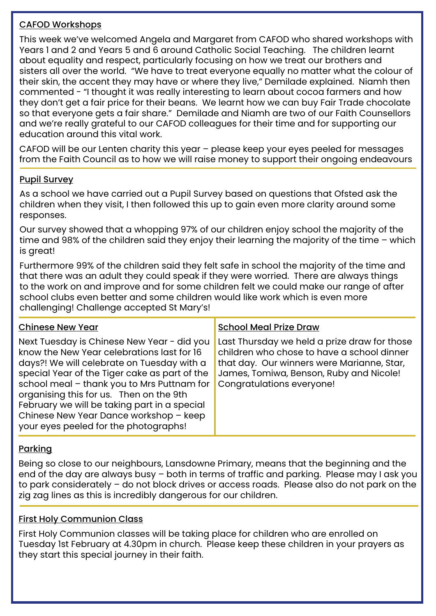# CAFOD Workshops

This week we've welcomed Angela and Margaret from CAFOD who shared workshops with Years 1 and 2 and Years 5 and 6 around Catholic Social Teaching. The children learnt about equality and respect, particularly focusing on how we treat our brothers and sisters all over the world. "We have to treat everyone equally no matter what the colour of their skin, the accent they may have or where they live," Demilade explained. Niamh then commented - "I thought it was really interesting to learn about cocoa farmers and how they don't get a fair price for their beans. We learnt how we can buy Fair Trade chocolate so that everyone gets a fair share." Demilade and Niamh are two of our Faith Counsellors and we're really grateful to our CAFOD colleagues for their time and for supporting our education around this vital work.

CAFOD will be our Lenten charity this year – please keep your eyes peeled for messages from the Faith Council as to how we will raise money to support their ongoing endeavours

## Pupil Survey

As a school we have carried out a Pupil Survey based on questions that Ofsted ask the children when they visit, I then followed this up to gain even more clarity around some responses.

Our survey showed that a whopping 97% of our children enjoy school the majority of the time and 98% of the children said they enjoy their learning the majority of the time – which is great!

Furthermore 99% of the children said they felt safe in school the majority of the time and that there was an adult they could speak if they were worried. There are always things to the work on and improve and for some children felt we could make our range of after school clubs even better and some children would like work which is even more challenging! Challenge accepted St Mary's!

| <b>Chinese New Year</b>                                                                                                                                                                                                                                                                                                                                                                                             | <b>School Meal Prize Draw</b>                                                                                                                                                                                    |
|---------------------------------------------------------------------------------------------------------------------------------------------------------------------------------------------------------------------------------------------------------------------------------------------------------------------------------------------------------------------------------------------------------------------|------------------------------------------------------------------------------------------------------------------------------------------------------------------------------------------------------------------|
| Next Tuesday is Chinese New Year - did you<br>know the New Year celebrations last for 16<br>days?! We will celebrate on Tuesday with a<br>special Year of the Tiger cake as part of the<br>school meal - thank you to Mrs Puttnam for<br>organising this for us. Then on the 9th<br>February we will be taking part in a special<br>Chinese New Year Dance workshop - keep<br>your eyes peeled for the photographs! | Last Thursday we held a prize draw for those<br>children who chose to have a school dinner<br>that day. Our winners were Marianne, Star,<br>James, Tomiwa, Benson, Ruby and Nicole!<br>Congratulations everyone! |

# Parking

Being so close to our neighbours, Lansdowne Primary, means that the beginning and the end of the day are always busy – both in terms of traffic and parking. Please may I ask you to park considerately – do not block drives or access roads. Please also do not park on the zig zag lines as this is incredibly dangerous for our children.

#### First Holy Communion Class

First Holy Communion classes will be taking place for children who are enrolled on Tuesday 1st February at 4.30pm in church. Please keep these children in your prayers as they start this special journey in their faith.